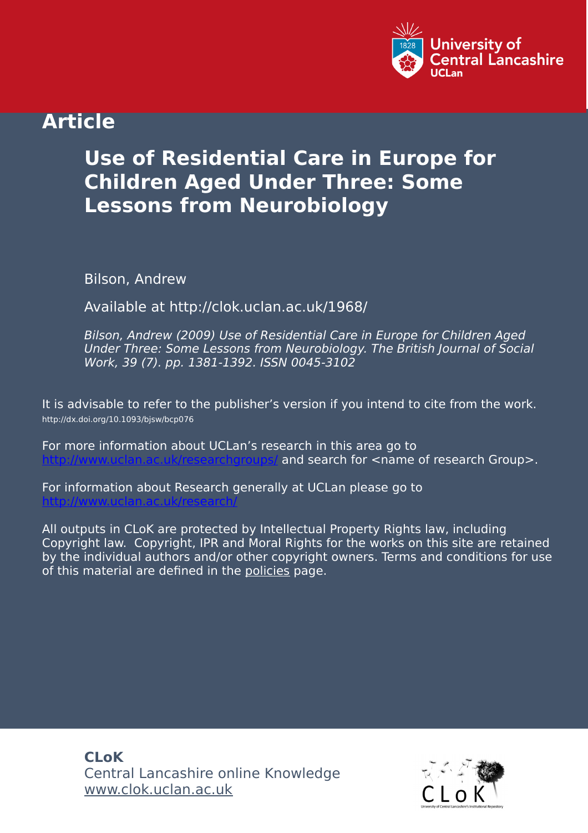

## **Article**

# **Use of Residential Care in Europe for Children Aged Under Three: Some Lessons from Neurobiology**

Bilson, Andrew

Available at http://clok.uclan.ac.uk/1968/

Bilson, Andrew (2009) Use of Residential Care in Europe for Children Aged Under Three: Some Lessons from Neurobiology. The British Journal of Social Work, 39 (7). pp. 1381-1392. ISSN 0045-3102

It is advisable to refer to the publisher's version if you intend to cite from the work. http://dx.doi.org/10.1093/bjsw/bcp076

For more information about UCLan's research in this area go to and search for <name of research Group>.

For information about Research generally at UCLan please go to <http://www.uclan.ac.uk/research/>

All outputs in CLoK are protected by Intellectual Property Rights law, including Copyright law. Copyright, IPR and Moral Rights for the works on this site are retained by the individual authors and/or other copyright owners. Terms and conditions for use of this material are defined in the [policies](https://clok.uclan.ac.uk/policies.html) page.

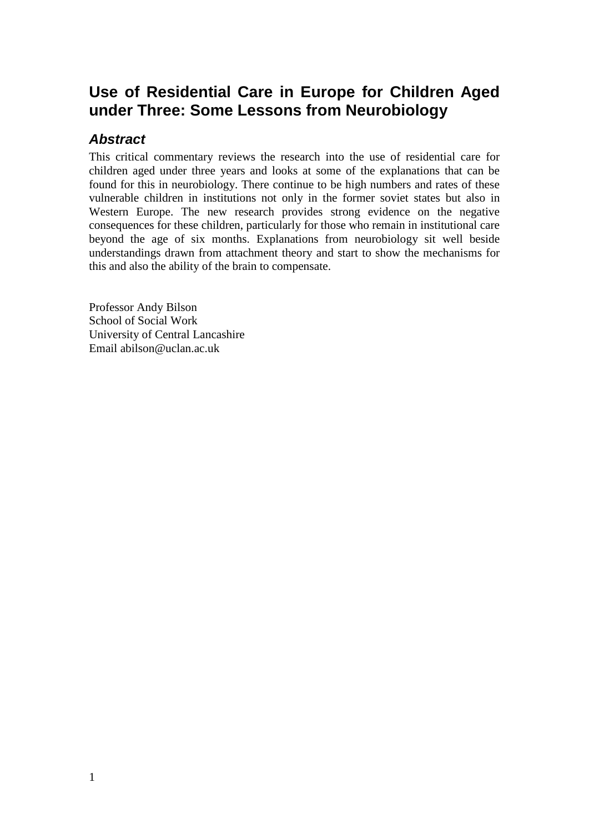## **Use of Residential Care in Europe for Children Aged under Three: Some Lessons from Neurobiology**

## *Abstract*

This critical commentary reviews the research into the use of residential care for children aged under three years and looks at some of the explanations that can be found for this in neurobiology. There continue to be high numbers and rates of these vulnerable children in institutions not only in the former soviet states but also in Western Europe. The new research provides strong evidence on the negative consequences for these children, particularly for those who remain in institutional care beyond the age of six months. Explanations from neurobiology sit well beside understandings drawn from attachment theory and start to show the mechanisms for this and also the ability of the brain to compensate.

Professor Andy Bilson School of Social Work University of Central Lancashire Email abilson@uclan.ac.uk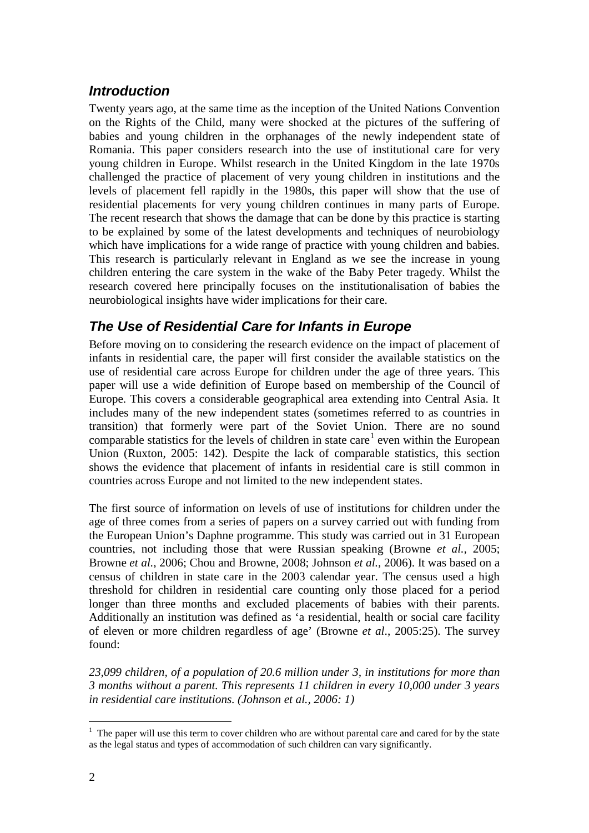## *Introduction*

Twenty years ago, at the same time as the inception of the United Nations Convention on the Rights of the Child, many were shocked at the pictures of the suffering of babies and young children in the orphanages of the newly independent state of Romania. This paper considers research into the use of institutional care for very young children in Europe. Whilst research in the United Kingdom in the late 1970s challenged the practice of placement of very young children in institutions and the levels of placement fell rapidly in the 1980s, this paper will show that the use of residential placements for very young children continues in many parts of Europe. The recent research that shows the damage that can be done by this practice is starting to be explained by some of the latest developments and techniques of neurobiology which have implications for a wide range of practice with young children and babies. This research is particularly relevant in England as we see the increase in young children entering the care system in the wake of the Baby Peter tragedy. Whilst the research covered here principally focuses on the institutionalisation of babies the neurobiological insights have wider implications for their care.

## *The Use of Residential Care for Infants in Europe*

Before moving on to considering the research evidence on the impact of placement of infants in residential care, the paper will first consider the available statistics on the use of residential care across Europe for children under the age of three years. This paper will use a wide definition of Europe based on membership of the Council of Europe. This covers a considerable geographical area extending into Central Asia. It includes many of the new independent states (sometimes referred to as countries in transition) that formerly were part of the Soviet Union. There are no sound comparable statistics for the levels of children in state care<sup>[1](#page-2-0)</sup> even within the European Union (Ruxton, 2005: 142). Despite the lack of comparable statistics, this section shows the evidence that placement of infants in residential care is still common in countries across Europe and not limited to the new independent states.

The first source of information on levels of use of institutions for children under the age of three comes from a series of papers on a survey carried out with funding from the European Union's Daphne programme. This study was carried out in 31 European countries, not including those that were Russian speaking (Browne *et al.,* 2005; Browne *et al.*, 2006; Chou and Browne, 2008; Johnson *et al.,* 2006). It was based on a census of children in state care in the 2003 calendar year. The census used a high threshold for children in residential care counting only those placed for a period longer than three months and excluded placements of babies with their parents. Additionally an institution was defined as 'a residential, health or social care facility of eleven or more children regardless of age' (Browne *et al*., 2005:25). The survey found:

*23,099 children, of a population of 20.6 million under 3, in institutions for more than 3 months without a parent. This represents 11 children in every 10,000 under 3 years in residential care institutions. (Johnson et al., 2006: 1)*

<span id="page-2-0"></span> $\frac{1}{1}$  $1$ . The paper will use this term to cover children who are without parental care and cared for by the state as the legal status and types of accommodation of such children can vary significantly.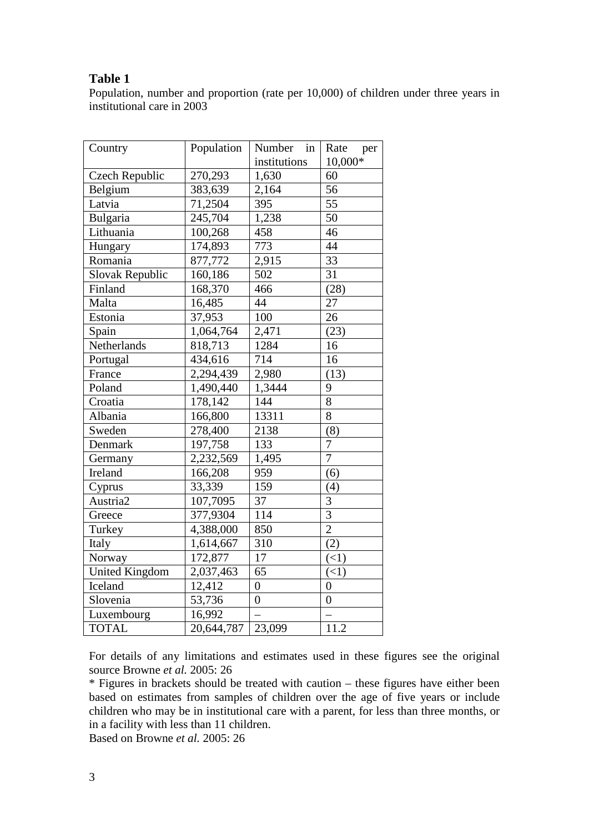#### **Table 1**

Population, number and proportion (rate per 10,000) of children under three years in institutional care in 2003

| Country               | Population | Number in        | Rate<br>per    |
|-----------------------|------------|------------------|----------------|
|                       |            | institutions     | 10,000*        |
| Czech Republic        | 270,293    | 1,630            | 60             |
| Belgium               | 383,639    | 2,164            | 56             |
| Latvia                | 71,2504    | 395              | 55             |
| Bulgaria              | 245,704    | 1,238            | 50             |
| Lithuania             | 100,268    | 458              | 46             |
| Hungary               | 174,893    | 773              | 44             |
| Romania               | 877,772    | 2,915            | 33             |
| Slovak Republic       | 160,186    | 502              | 31             |
| Finland               | 168,370    | 466              | (28)           |
| Malta                 | 16,485     | 44               | 27             |
| Estonia               | 37,953     | 100              | 26             |
| Spain                 | 1,064,764  | 2,471            | (23)           |
| Netherlands           | 818,713    | 1284             | 16             |
| Portugal              | 434,616    | 714              | 16             |
| France                | 2,294,439  | 2,980            | (13)           |
| Poland                | 1,490,440  | 1,3444           | 9              |
| Croatia               | 178,142    | 144              | 8              |
| Albania               | 166,800    | 13311            | 8              |
| Sweden                | 278,400    | 2138             | (8)            |
| Denmark               | 197,758    | 133              | $\overline{7}$ |
| Germany               | 2,232,569  | 1,495            | $\overline{7}$ |
| Ireland               | 166,208    | 959              | (6)            |
| Cyprus                | 33,339     | 159              | (4)            |
| Austria <sub>2</sub>  | 107,7095   | 37               | 3              |
| Greece                | 377,9304   | 114              | $\overline{3}$ |
| Turkey                | 4,388,000  | 850              | $\overline{2}$ |
| Italy                 | 1,614,667  | 310              | (2)            |
| Norway                | 172,877    | 17               | (<1)           |
| <b>United Kingdom</b> | 2,037,463  | 65               | (<1)           |
| Iceland               | 12,412     | $\boldsymbol{0}$ | $\overline{0}$ |
| Slovenia              | 53,736     | $\overline{0}$   | $\overline{0}$ |
| Luxembourg            | 16,992     |                  |                |
| <b>TOTAL</b>          | 20,644,787 | 23,099           | 11.2           |

For details of any limitations and estimates used in these figures see the original source Browne *et al.* 2005: 26

\* Figures in brackets should be treated with caution – these figures have either been based on estimates from samples of children over the age of five years or include children who may be in institutional care with a parent, for less than three months, or in a facility with less than 11 children.

Based on Browne *et al.* 2005: 26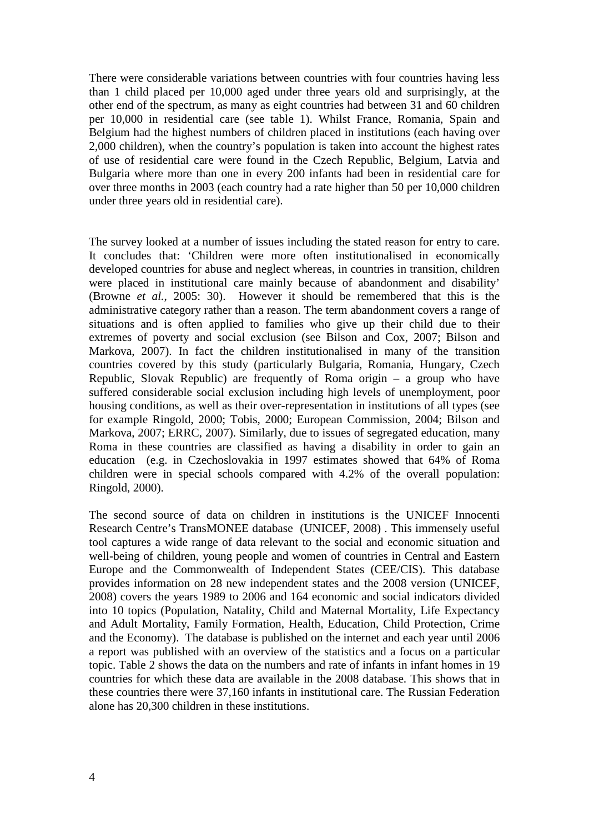There were considerable variations between countries with four countries having less than 1 child placed per 10,000 aged under three years old and surprisingly, at the other end of the spectrum, as many as eight countries had between 31 and 60 children per 10,000 in residential care (see table 1). Whilst France, Romania, Spain and Belgium had the highest numbers of children placed in institutions (each having over 2,000 children), when the country's population is taken into account the highest rates of use of residential care were found in the Czech Republic, Belgium, Latvia and Bulgaria where more than one in every 200 infants had been in residential care for over three months in 2003 (each country had a rate higher than 50 per 10,000 children under three years old in residential care).

The survey looked at a number of issues including the stated reason for entry to care. It concludes that: 'Children were more often institutionalised in economically developed countries for abuse and neglect whereas, in countries in transition, children were placed in institutional care mainly because of abandonment and disability' (Browne *et al.*, 2005: 30). However it should be remembered that this is the administrative category rather than a reason. The term abandonment covers a range of situations and is often applied to families who give up their child due to their extremes of poverty and social exclusion (see Bilson and Cox, 2007; Bilson and Markova, 2007). In fact the children institutionalised in many of the transition countries covered by this study (particularly Bulgaria, Romania, Hungary, Czech Republic, Slovak Republic) are frequently of Roma origin – a group who have suffered considerable social exclusion including high levels of unemployment, poor housing conditions, as well as their over-representation in institutions of all types (see for example Ringold, 2000; Tobis, 2000; European Commission, 2004; Bilson and Markova, 2007; ERRC, 2007). Similarly, due to issues of segregated education, many Roma in these countries are classified as having a disability in order to gain an education (e.g. in Czechoslovakia in 1997 estimates showed that 64% of Roma children were in special schools compared with 4.2% of the overall population: Ringold, 2000).

The second source of data on children in institutions is the UNICEF Innocenti Research Centre's TransMONEE database (UNICEF, 2008) . This immensely useful tool captures a wide range of data relevant to the social and economic situation and well-being of children, young people and women of countries in Central and Eastern Europe and the Commonwealth of Independent States (CEE/CIS). This database provides information on 28 new independent states and the 2008 version (UNICEF, 2008) covers the years 1989 to 2006 and 164 economic and social indicators divided into 10 topics (Population, Natality, Child and Maternal Mortality, Life Expectancy and Adult Mortality, Family Formation, Health, Education, Child Protection, Crime and the Economy). The database is published on the internet and each year until 2006 a report was published with an overview of the statistics and a focus on a particular topic. Table 2 shows the data on the numbers and rate of infants in infant homes in 19 countries for which these data are available in the 2008 database. This shows that in these countries there were 37,160 infants in institutional care. The Russian Federation alone has 20,300 children in these institutions.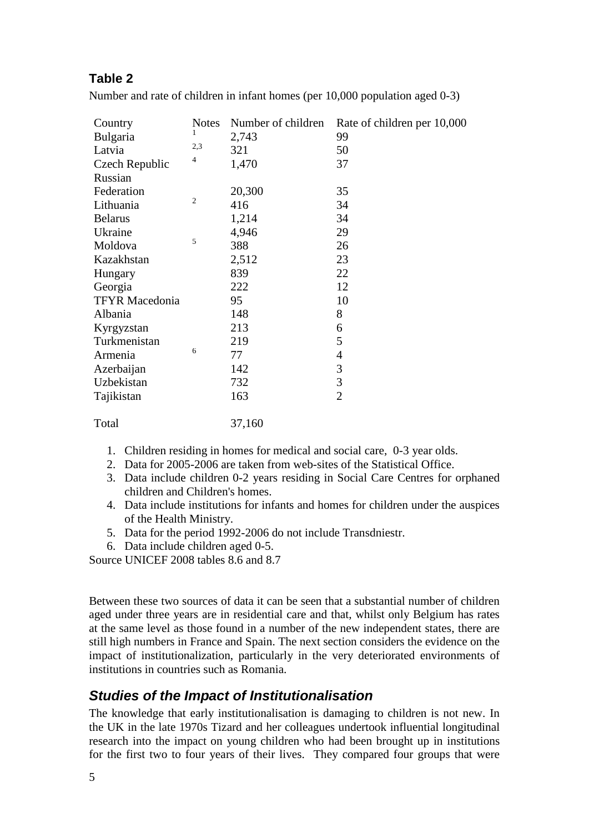## **Table 2**

Number and rate of children in infant homes (per 10,000 population aged 0-3)

| Country               | <b>Notes</b>   | Number of children | Rate of children per 10,000 |
|-----------------------|----------------|--------------------|-----------------------------|
| Bulgaria              | 1              | 2,743              | 99                          |
| Latvia                | 2,3            | 321                | 50                          |
| Czech Republic        | $\overline{4}$ | 1,470              | 37                          |
| Russian               |                |                    |                             |
| Federation            |                | 20,300             | 35                          |
| Lithuania             | $\overline{c}$ | 416                | 34                          |
| <b>Belarus</b>        |                | 1,214              | 34                          |
| Ukraine               |                | 4,946              | 29                          |
| Moldova               | 5              | 388                | 26                          |
| Kazakhstan            |                | 2,512              | 23                          |
| Hungary               |                | 839                | 22                          |
| Georgia               |                | 222                | 12                          |
| <b>TFYR Macedonia</b> |                | 95                 | 10                          |
| Albania               |                | 148                | 8                           |
| Kyrgyzstan            |                | 213                | 6                           |
| Turkmenistan          |                | 219                | 5                           |
| Armenia               | 6              | 77                 | $\overline{4}$              |
| Azerbaijan            |                | 142                | 3                           |
| Uzbekistan            |                | 732                | 3                           |
| Tajikistan            |                | 163                | $\overline{2}$              |
| Total                 |                | 37,160             |                             |

- 1. Children residing in homes for medical and social care, 0-3 year olds.
- 2. Data for 2005-2006 are taken from web-sites of the Statistical Office.
- 3. Data include children 0-2 years residing in Social Care Centres for orphaned children and Children's homes.
- 4. Data include institutions for infants and homes for children under the auspices of the Health Ministry.
- 5. Data for the period 1992-2006 do not include Transdniestr.
- 6. Data include children aged 0-5.

Source UNICEF 2008 tables 8.6 and 8.7

Between these two sources of data it can be seen that a substantial number of children aged under three years are in residential care and that, whilst only Belgium has rates at the same level as those found in a number of the new independent states, there are still high numbers in France and Spain. The next section considers the evidence on the impact of institutionalization, particularly in the very deteriorated environments of institutions in countries such as Romania.

## *Studies of the Impact of Institutionalisation*

The knowledge that early institutionalisation is damaging to children is not new. In the UK in the late 1970s Tizard and her colleagues undertook influential longitudinal research into the impact on young children who had been brought up in institutions for the first two to four years of their lives. They compared four groups that were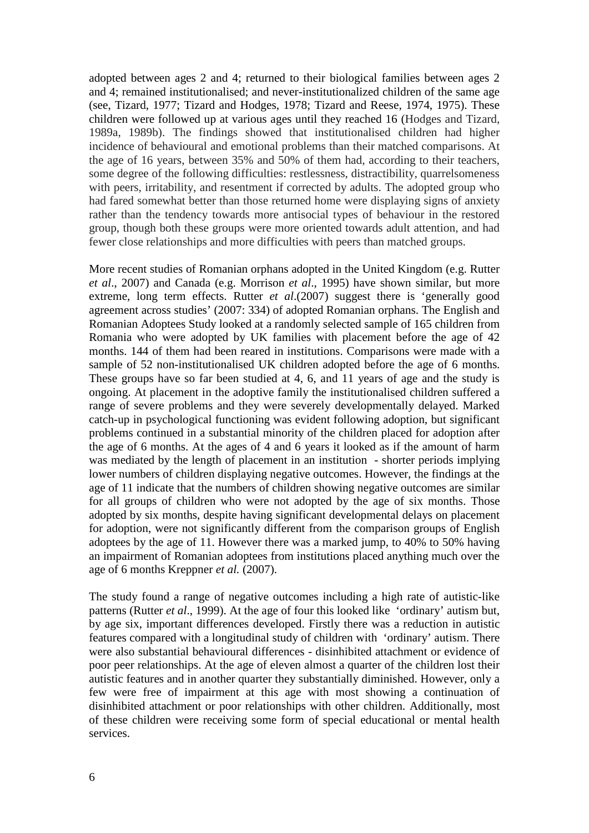adopted between ages 2 and 4; returned to their biological families between ages 2 and 4; remained institutionalised; and never-institutionalized children of the same age (see, Tizard, 1977; Tizard and Hodges, 1978; Tizard and Reese, 1974, 1975). These children were followed up at various ages until they reached 16 (Hodges and Tizard, 1989a, 1989b). The findings showed that institutionalised children had higher incidence of behavioural and emotional problems than their matched comparisons. At the age of 16 years, between 35% and 50% of them had, according to their teachers, some degree of the following difficulties: restlessness, distractibility, quarrelsomeness with peers, irritability, and resentment if corrected by adults. The adopted group who had fared somewhat better than those returned home were displaying signs of anxiety rather than the tendency towards more antisocial types of behaviour in the restored group, though both these groups were more oriented towards adult attention, and had fewer close relationships and more difficulties with peers than matched groups.

More recent studies of Romanian orphans adopted in the United Kingdom (e.g. Rutter *et al*., 2007) and Canada (e.g. Morrison *et al*., 1995) have shown similar, but more extreme, long term effects. Rutter *et al*.(2007) suggest there is 'generally good agreement across studies' (2007: 334) of adopted Romanian orphans. The English and Romanian Adoptees Study looked at a randomly selected sample of 165 children from Romania who were adopted by UK families with placement before the age of 42 months. 144 of them had been reared in institutions. Comparisons were made with a sample of 52 non-institutionalised UK children adopted before the age of 6 months. These groups have so far been studied at 4, 6, and 11 years of age and the study is ongoing. At placement in the adoptive family the institutionalised children suffered a range of severe problems and they were severely developmentally delayed. Marked catch-up in psychological functioning was evident following adoption, but significant problems continued in a substantial minority of the children placed for adoption after the age of 6 months. At the ages of 4 and 6 years it looked as if the amount of harm was mediated by the length of placement in an institution - shorter periods implying lower numbers of children displaying negative outcomes. However, the findings at the age of 11 indicate that the numbers of children showing negative outcomes are similar for all groups of children who were not adopted by the age of six months. Those adopted by six months, despite having significant developmental delays on placement for adoption, were not significantly different from the comparison groups of English adoptees by the age of 11. However there was a marked jump, to 40% to 50% having an impairment of Romanian adoptees from institutions placed anything much over the age of 6 months Kreppner *et al.* (2007).

The study found a range of negative outcomes including a high rate of autistic-like patterns (Rutter *et al*., 1999). At the age of four this looked like 'ordinary' autism but, by age six, important differences developed. Firstly there was a reduction in autistic features compared with a longitudinal study of children with 'ordinary' autism. There were also substantial behavioural differences - disinhibited attachment or evidence of poor peer relationships. At the age of eleven almost a quarter of the children lost their autistic features and in another quarter they substantially diminished. However, only a few were free of impairment at this age with most showing a continuation of disinhibited attachment or poor relationships with other children. Additionally, most of these children were receiving some form of special educational or mental health services.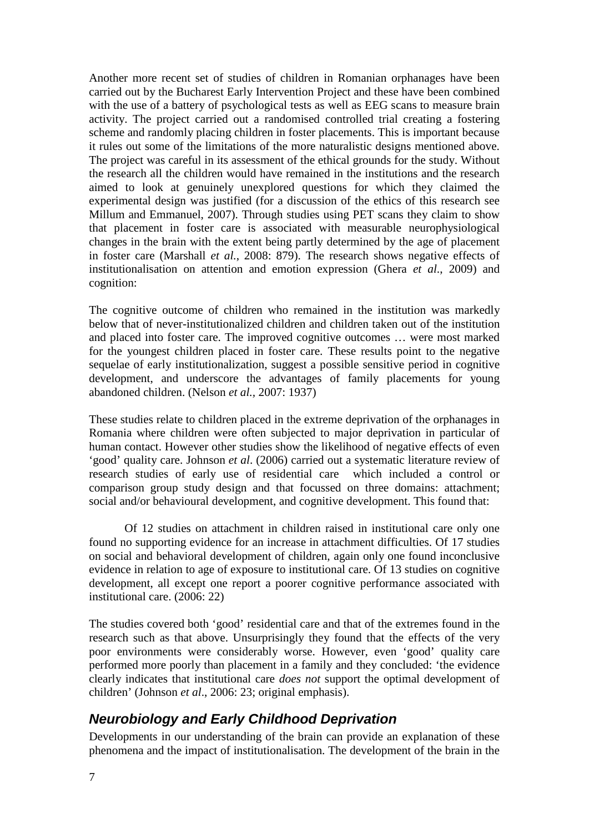Another more recent set of studies of children in Romanian orphanages have been carried out by the Bucharest Early Intervention Project and these have been combined with the use of a battery of psychological tests as well as EEG scans to measure brain activity. The project carried out a randomised controlled trial creating a fostering scheme and randomly placing children in foster placements. This is important because it rules out some of the limitations of the more naturalistic designs mentioned above. The project was careful in its assessment of the ethical grounds for the study. Without the research all the children would have remained in the institutions and the research aimed to look at genuinely unexplored questions for which they claimed the experimental design was justified (for a discussion of the ethics of this research see Millum and Emmanuel, 2007). Through studies using PET scans they claim to show that placement in foster care is associated with measurable neurophysiological changes in the brain with the extent being partly determined by the age of placement in foster care (Marshall *et al.*, 2008: 879). The research shows negative effects of institutionalisation on attention and emotion expression (Ghera *et al*., 2009) and cognition:

The cognitive outcome of children who remained in the institution was markedly below that of never-institutionalized children and children taken out of the institution and placed into foster care. The improved cognitive outcomes … were most marked for the youngest children placed in foster care. These results point to the negative sequelae of early institutionalization, suggest a possible sensitive period in cognitive development, and underscore the advantages of family placements for young abandoned children. (Nelson *et al.,* 2007: 1937)

These studies relate to children placed in the extreme deprivation of the orphanages in Romania where children were often subjected to major deprivation in particular of human contact. However other studies show the likelihood of negative effects of even 'good' quality care. Johnson *et al*. (2006) carried out a systematic literature review of research studies of early use of residential care which included a control or comparison group study design and that focussed on three domains: attachment; social and/or behavioural development, and cognitive development. This found that:

Of 12 studies on attachment in children raised in institutional care only one found no supporting evidence for an increase in attachment difficulties. Of 17 studies on social and behavioral development of children, again only one found inconclusive evidence in relation to age of exposure to institutional care. Of 13 studies on cognitive development, all except one report a poorer cognitive performance associated with institutional care. (2006: 22)

The studies covered both 'good' residential care and that of the extremes found in the research such as that above. Unsurprisingly they found that the effects of the very poor environments were considerably worse. However, even 'good' quality care performed more poorly than placement in a family and they concluded: 'the evidence clearly indicates that institutional care *does not* support the optimal development of children' (Johnson *et al*., 2006: 23; original emphasis).

## *Neurobiology and Early Childhood Deprivation*

Developments in our understanding of the brain can provide an explanation of these phenomena and the impact of institutionalisation. The development of the brain in the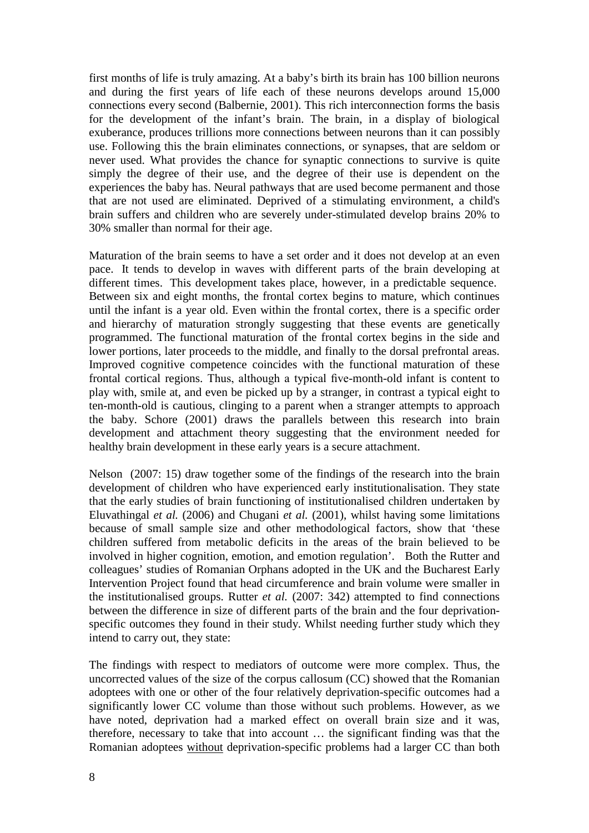first months of life is truly amazing. At a baby's birth its brain has 100 billion neurons and during the first years of life each of these neurons develops around 15,000 connections every second (Balbernie, 2001). This rich interconnection forms the basis for the development of the infant's brain. The brain, in a display of biological exuberance, produces trillions more connections between neurons than it can possibly use. Following this the brain eliminates connections, or synapses, that are seldom or never used. What provides the chance for synaptic connections to survive is quite simply the degree of their use, and the degree of their use is dependent on the experiences the baby has. Neural pathways that are used become permanent and those that are not used are eliminated. Deprived of a stimulating environment, a child's brain suffers and children who are severely under-stimulated develop brains 20% to 30% smaller than normal for their age.

Maturation of the brain seems to have a set order and it does not develop at an even pace. It tends to develop in waves with different parts of the brain developing at different times. This development takes place, however, in a predictable sequence. Between six and eight months, the frontal cortex begins to mature, which continues until the infant is a year old. Even within the frontal cortex, there is a specific order and hierarchy of maturation strongly suggesting that these events are genetically programmed. The functional maturation of the frontal cortex begins in the side and lower portions, later proceeds to the middle, and finally to the dorsal prefrontal areas. Improved cognitive competence coincides with the functional maturation of these frontal cortical regions. Thus, although a typical five-month-old infant is content to play with, smile at, and even be picked up by a stranger, in contrast a typical eight to ten-month-old is cautious, clinging to a parent when a stranger attempts to approach the baby. Schore (2001) draws the parallels between this research into brain development and attachment theory suggesting that the environment needed for healthy brain development in these early years is a secure attachment.

Nelson (2007: 15) draw together some of the findings of the research into the brain development of children who have experienced early institutionalisation. They state that the early studies of brain functioning of institutionalised children undertaken by Eluvathingal *et al.* (2006) and Chugani *et al.* (2001), whilst having some limitations because of small sample size and other methodological factors, show that 'these children suffered from metabolic deficits in the areas of the brain believed to be involved in higher cognition, emotion, and emotion regulation'. Both the Rutter and colleagues' studies of Romanian Orphans adopted in the UK and the Bucharest Early Intervention Project found that head circumference and brain volume were smaller in the institutionalised groups. Rutter *et al.* (2007: 342) attempted to find connections between the difference in size of different parts of the brain and the four deprivationspecific outcomes they found in their study. Whilst needing further study which they intend to carry out, they state:

The findings with respect to mediators of outcome were more complex. Thus, the uncorrected values of the size of the corpus callosum (CC) showed that the Romanian adoptees with one or other of the four relatively deprivation-specific outcomes had a significantly lower CC volume than those without such problems. However, as we have noted, deprivation had a marked effect on overall brain size and it was, therefore, necessary to take that into account … the significant finding was that the Romanian adoptees without deprivation-specific problems had a larger CC than both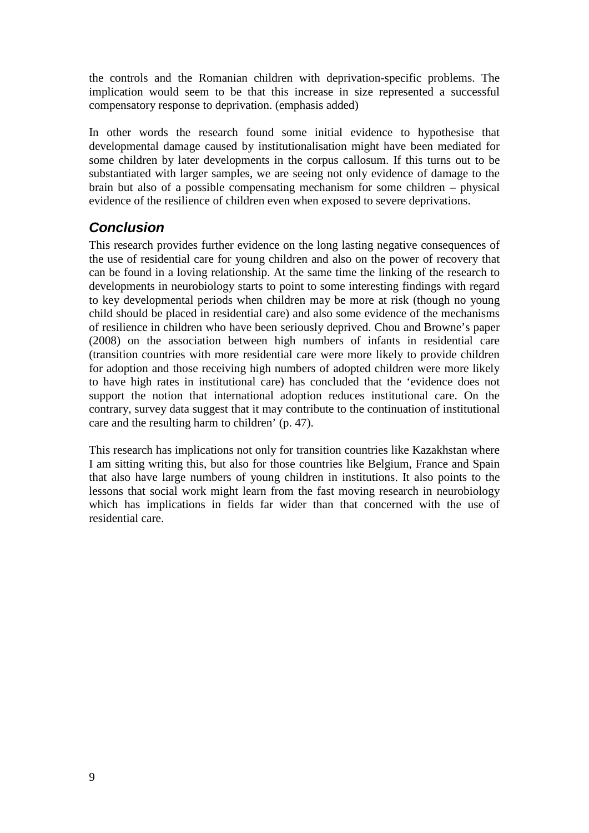the controls and the Romanian children with deprivation-specific problems. The implication would seem to be that this increase in size represented a successful compensatory response to deprivation. (emphasis added)

In other words the research found some initial evidence to hypothesise that developmental damage caused by institutionalisation might have been mediated for some children by later developments in the corpus callosum. If this turns out to be substantiated with larger samples, we are seeing not only evidence of damage to the brain but also of a possible compensating mechanism for some children – physical evidence of the resilience of children even when exposed to severe deprivations.

## *Conclusion*

This research provides further evidence on the long lasting negative consequences of the use of residential care for young children and also on the power of recovery that can be found in a loving relationship. At the same time the linking of the research to developments in neurobiology starts to point to some interesting findings with regard to key developmental periods when children may be more at risk (though no young child should be placed in residential care) and also some evidence of the mechanisms of resilience in children who have been seriously deprived. Chou and Browne's paper (2008) on the association between high numbers of infants in residential care (transition countries with more residential care were more likely to provide children for adoption and those receiving high numbers of adopted children were more likely to have high rates in institutional care) has concluded that the 'evidence does not support the notion that international adoption reduces institutional care. On the contrary, survey data suggest that it may contribute to the continuation of institutional care and the resulting harm to children' (p. 47).

This research has implications not only for transition countries like Kazakhstan where I am sitting writing this, but also for those countries like Belgium, France and Spain that also have large numbers of young children in institutions. It also points to the lessons that social work might learn from the fast moving research in neurobiology which has implications in fields far wider than that concerned with the use of residential care.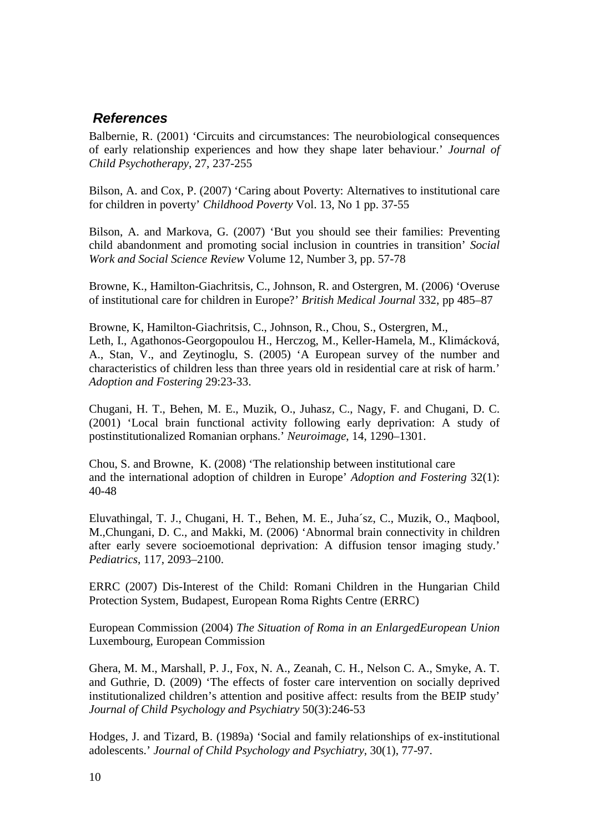### *References*

Balbernie, R. (2001) 'Circuits and circumstances: The neurobiological consequences of early relationship experiences and how they shape later behaviour.' *Journal of Child Psychotherapy*, 27, 237-255

Bilson, A. and Cox, P. (2007) 'Caring about Poverty: Alternatives to institutional care for children in poverty' *Childhood Poverty* Vol. 13, No 1 pp. 37-55

Bilson, A. and Markova, G. (2007) 'But you should see their families: Preventing child abandonment and promoting social inclusion in countries in transition' *Social Work and Social Science Review* Volume 12, Number 3, pp. 57-78

Browne, K., Hamilton-Giachritsis, C., Johnson, R. and Ostergren, M. (2006) 'Overuse of institutional care for children in Europe?' *British Medical Journal* 332, pp 485–87

Browne, K, Hamilton-Giachritsis, C., Johnson, R., Chou, S., Ostergren, M., Leth, I., Agathonos-Georgopoulou H., Herczog, M., Keller-Hamela, M., Klimácková, A., Stan, V., and Zeytinoglu, S. (2005) 'A European survey of the number and characteristics of children less than three years old in residential care at risk of harm.' *Adoption and Fostering* 29:23-33.

Chugani, H. T., Behen, M. E., Muzik, O., Juhasz, C., Nagy, F. and Chugani, D. C. (2001) 'Local brain functional activity following early deprivation: A study of postinstitutionalized Romanian orphans.' *Neuroimage*, 14, 1290–1301.

Chou, S. and Browne, K. (2008) 'The relationship between institutional care and the international adoption of children in Europe' *Adoption and Fostering* 32(1): 40-48

Eluvathingal, T. J., Chugani, H. T., Behen, M. E., Juha´sz, C., Muzik, O., Maqbool, M.,Chungani, D. C., and Makki, M. (2006) 'Abnormal brain connectivity in children after early severe socioemotional deprivation: A diffusion tensor imaging study.' *Pediatrics*, 117, 2093–2100.

ERRC (2007) Dis-Interest of the Child: Romani Children in the Hungarian Child Protection System, Budapest, European Roma Rights Centre (ERRC)

European Commission (2004) *The Situation of Roma in an EnlargedEuropean Union* Luxembourg, European Commission

Ghera, M. M., Marshall, P. J., Fox, N. A., Zeanah, C. H., Nelson C. A., Smyke, A. T. and Guthrie, D. (2009) 'The effects of foster care intervention on socially deprived institutionalized children's attention and positive affect: results from the BEIP study' *Journal of Child Psychology and Psychiatry* 50(3):246-53

Hodges, J. and Tizard, B. (1989a) 'Social and family relationships of ex-institutional adolescents.' *Journal of Child Psychology and Psychiatry*, 30(1), 77-97.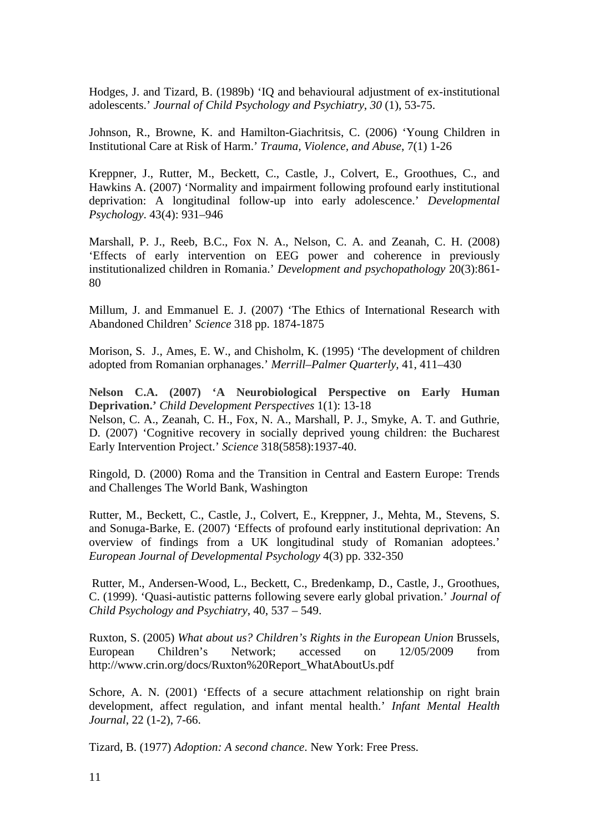Hodges, J. and Tizard, B. (1989b) 'IQ and behavioural adjustment of ex-institutional adolescents.' *Journal of Child Psychology and Psychiatry*, *30* (1), 53-75.

Johnson, R., Browne, K. and Hamilton-Giachritsis, C. (2006) 'Young Children in Institutional Care at Risk of Harm.' *Trauma, Violence, and Abuse*, 7(1) 1-26

Kreppner, J., Rutter, M., Beckett, C., Castle, J., Colvert, E., Groothues, C., and Hawkins A. (2007) 'Normality and impairment following profound early institutional deprivation: A longitudinal follow-up into early adolescence.' *Developmental Psychology*. 43(4): 931–946

Marshall, P. J., Reeb, B.C., Fox N. A., Nelson, C. A. and Zeanah, C. H. (2008) 'Effects of early intervention on EEG power and coherence in previously institutionalized children in Romania.' *Development and psychopathology* 20(3):861- 80

Millum, J. and Emmanuel E. J. (2007) 'The Ethics of International Research with Abandoned Children' *Science* 318 pp. 1874-1875

Morison, S. J., Ames, E. W., and Chisholm, K. (1995) 'The development of children adopted from Romanian orphanages.' *Merrill–Palmer Quarterly*, 41, 411–430

**Nelson C.A. (2007) 'A Neurobiological Perspective on Early Human Deprivation.'** *Child Development Perspectives* 1(1): 13-18 Nelson, C. A., Zeanah, C. H., Fox, N. A., Marshall, P. J., Smyke, A. T. and Guthrie, D. (2007) 'Cognitive recovery in socially deprived young children: the Bucharest Early Intervention Project.' *Science* 318(5858):1937-40.

Ringold, D. (2000) Roma and the Transition in Central and Eastern Europe: Trends and Challenges The World Bank, Washington

Rutter, M., Beckett, C., Castle, J., Colvert, E., Kreppner, J., Mehta, M., Stevens, S. and Sonuga-Barke, E. (2007) 'Effects of profound early institutional deprivation: An overview of findings from a UK longitudinal study of Romanian adoptees.' *European Journal of Developmental Psychology* 4(3) pp. 332-350

Rutter, M., Andersen-Wood, L., Beckett, C., Bredenkamp, D., Castle, J., Groothues, C. (1999). 'Quasi-autistic patterns following severe early global privation.' *Journal of Child Psychology and Psychiatry*, 40, 537 – 549.

Ruxton, S. (2005) *What about us? Children's Rights in the European Union* Brussels, European Children's Network; accessed on 12/05/2009 from http://www.crin.org/docs/Ruxton%20Report\_WhatAboutUs.pdf

Schore, A. N. (2001) 'Effects of a secure attachment relationship on right brain development, affect regulation, and infant mental health.' *Infant Mental Health Journal*, 22 (1-2), 7-66.

Tizard, B. (1977) *Adoption: A second chance*. New York: Free Press.